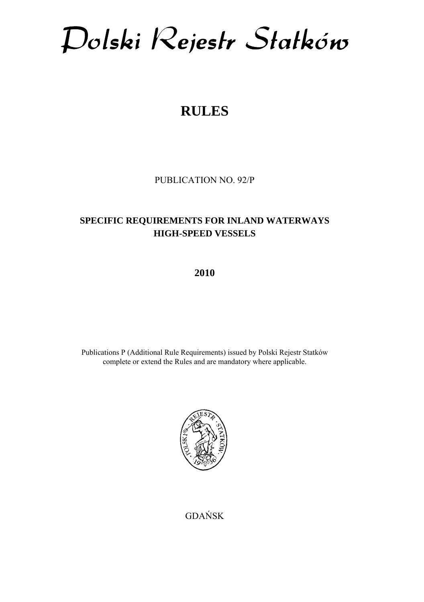Dolski Rejestr Statków

# **RULES**

PUBLICATION NO. 92/P

# **SPECIFIC REQUIREMENTS FOR INLAND WATERWAYS HIGH-SPEED VESSELS**

**2010** 

Publications P (Additional Rule Requirements) issued by Polski Rejestr Statków complete or extend the Rules and are mandatory where applicable.



GDAŃSK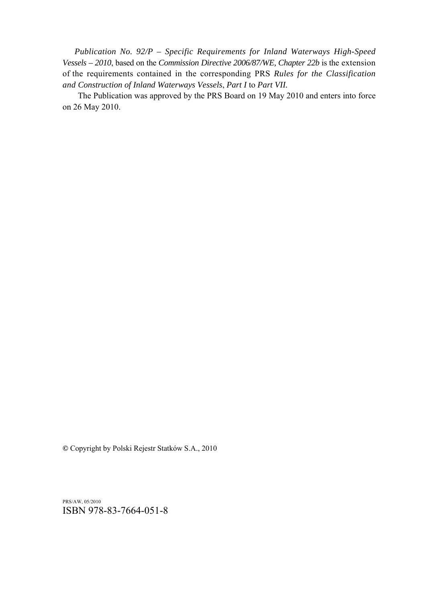*Publication No. 92/P – Specific Requirements for Inland Waterways High-Speed Vessels – 2010*, based on the *Commission Directive 2006/87/WE, Chapter 22b* is the extension of the requirements contained in the corresponding PRS *Rules for the Classification and Construction of Inland Waterways Vessels*, *Part I* to *Part VII.* 

The Publication was approved by the PRS Board on 19 May 2010 and enters into force on 26 May 2010.

© Copyright by Polski Rejestr Statków S.A., 2010

PRS/AW, 05/2010 ISBN 978-83-7664-051-8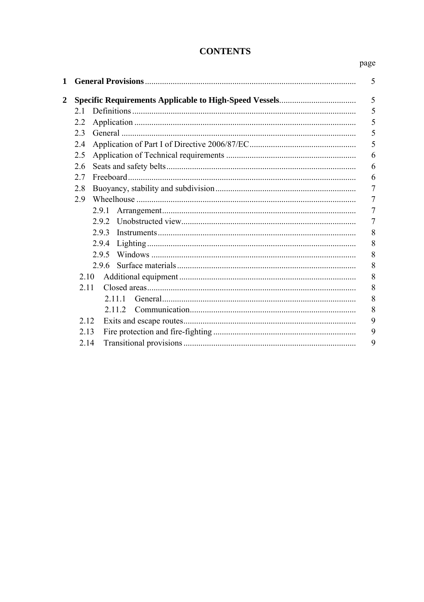## **CONTENTS**

#### page

| $\mathbf{1}$   |         | 5 |
|----------------|---------|---|
| $\overline{2}$ |         | 5 |
|                | 21      | 5 |
|                | 2.2     | 5 |
|                | 23      | 5 |
|                | 2.4     | 5 |
|                | 2.5     | 6 |
|                | 2.6     | 6 |
|                | 2.7     | 6 |
|                | 2.8     | 7 |
|                | 2.9     | 7 |
|                | 2.9.1   | 7 |
|                | 292     | 7 |
|                | 293     | 8 |
|                | 2.9.4   | 8 |
|                | 295     | 8 |
|                | 2.9.6   | 8 |
|                | 2.10    | 8 |
|                | 2.11    | 8 |
|                | 2 1 1 1 | 8 |
|                | 2 1 1 2 | 8 |
|                | 2.12    | 9 |
|                | 2.13    | 9 |
|                | 2.14    | 9 |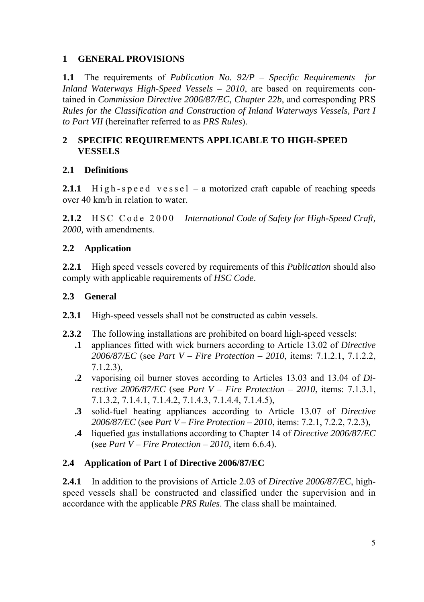## **1 GENERAL PROVISIONS**

**1.1** The requirements of *Publication No. 92/P – Specific Requirements for Inland Waterways High-Speed Vessels – 2010*, are based on requirements contained in *Commission Directive 2006/87/EC, Chapter 22b*, and corresponding PRS *Rules for the Classification and Construction of Inland Waterways Vessels, Part I to Part VII* (hereinafter referred to as *PRS Rules*).

## **2 SPECIFIC REQUIREMENTS APPLICABLE TO HIGH-SPEED VESSELS**

## **2.1 Definitions**

**2.1.1**  $\text{High-speed vessel} - \text{a motorized craft capable of reaching speeds}$ over 40 km/h in relation to water.

**2.1.2** HSC Code 2000 – *International Code of Safety for High-Speed Craft*, *2000,* with amendments.

## **2.2 Application**

**2.2.1** High speed vessels covered by requirements of this *Publication* should also comply with applicable requirements of *HSC Code*.

## **2.3 General**

- **2.3.1** High-speed vessels shall not be constructed as cabin vessels.
- **2.3.2** The following installations are prohibited on board high-speed vessels:
	- **.1** appliances fitted with wick burners according to Article 13.02 of *Directive 2006/87/EC* (see *Part V – Fire Protection – 2010*, items: 7.1.2.1, 7.1.2.2, 7.1.2.3),
	- **.2** vaporising oil burner stoves according to Articles 13.03 and 13.04 of *Directive 2006/87/EC* (see *Part V – Fire Protection – 2010*, items: 7.1.3.1, 7.1.3.2, 7.1.4.1, 7.1.4.2, 7.1.4.3, 7.1.4.4, 7.1.4.5),
	- **.3** solid-fuel heating appliances according to Article 13.07 of *Directive 2006/87/EC* (see *Part V – Fire Protection – 2010*, items: 7.2.1, 7.2.2, 7.2.3),
	- **.4** liquefied gas installations according to Chapter 14 of *Directive 2006/87/EC* (see *Part V – Fire Protection – 2010*, item 6.6.4).

## **2.4 Application of Part I of Directive 2006/87/EC**

**2.4.1** In addition to the provisions of Article 2.03 of *Directive 2006/87/EC*, highspeed vessels shall be constructed and classified under the supervision and in accordance with the applicable *PRS Rules*. The class shall be maintained.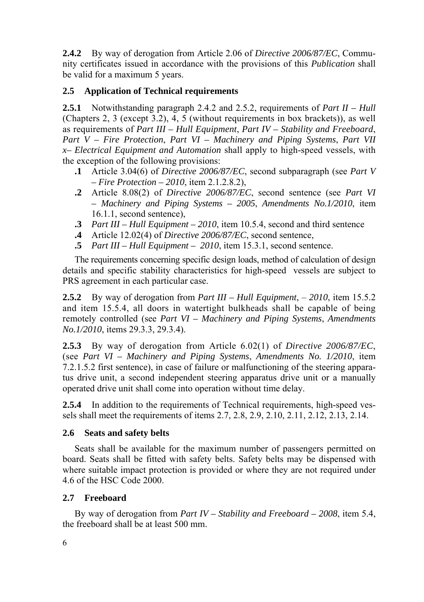**2.4.2** By way of derogation from Article 2.06 of *Directive 2006/87/EC*, Community certificates issued in accordance with the provisions of this *Publication* shall be valid for a maximum 5 years.

## **2.5 Application of Technical requirements**

**2.5.1** Notwithstanding paragraph 2.4.2 and 2.5.2, requirements of *Part II – Hull* (Chapters 2, 3 (except 3.2), 4, 5 (without requirements in box brackets)), as well as requirements of *Part III – Hull Equipment*, *Part IV – Stability and Freeboard*, *Part V – Fire Protection*, *Part VI – Machinery and Piping Systems*, *Part VII x– Electrical Equipment and Automation* shall apply to high-speed vessels, with the exception of the following provisions:

- **.1** Article 3.04(6) of *Directive 2006/87/EC*, second subparagraph (see *Part V – Fire Protection – 2010*, item 2.1.2.8.2),
- **.2** Article 8.08(2) of *Directive 2006/87/EC*, second sentence (see *Part VI – Machinery and Piping Systems – 2005*, *Amendments No.1/2010*, item 16.1.1, second sentence),
- **.3** *Part III Hull Equipment 2010*, item 10.5.4, second and third sentence
- **.4** Article 12.02(4) of *Directive 2006/87/EC*, second sentence,
- **.5** *Part III Hull Equipment 2010*, item 15.3.1, second sentence.

The requirements concerning specific design loads, method of calculation of design details and specific stability characteristics for high-speed vessels are subject to PRS agreement in each particular case.

**2.5.2** By way of derogation from *Part III – Hull Equipment*,  $-2010$ , item 15.5.2 and item 15.5.4, all doors in watertight bulkheads shall be capable of being remotely controlled (see *Part VI – Machinery and Piping Systems*, *Amendments No.1/2010*, items 29.3.3, 29.3.4).

**2.5.3** By way of derogation from Article 6.02(1) of *Directive 2006/87/EC*, (see *Part VI – Machinery and Piping Systems*, *Amendments No. 1/2010*, item 7.2.1.5.2 first sentence), in case of failure or malfunctioning of the steering apparatus drive unit, a second independent steering apparatus drive unit or a manually operated drive unit shall come into operation without time delay.

**2.5.4** In addition to the requirements of Technical requirements, high-speed vessels shall meet the requirements of items 2.7, 2.8, 2.9, 2.10, 2.11, 2.12, 2.13, 2.14.

## **2.6 Seats and safety belts**

Seats shall be available for the maximum number of passengers permitted on board. Seats shall be fitted with safety belts. Safety belts may be dispensed with where suitable impact protection is provided or where they are not required under 4.6 of the HSC Code 2000.

## **2.7 Freeboard**

By way of derogation from *Part IV – Stability and Freeboard – 2008*, item 5.4, the freeboard shall be at least 500 mm.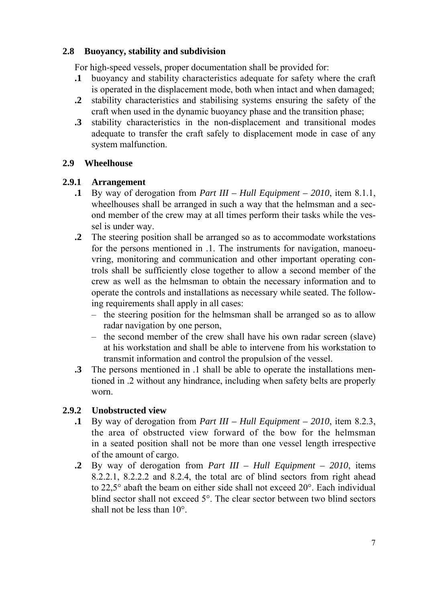## **2.8 Buoyancy, stability and subdivision**

For high-speed vessels, proper documentation shall be provided for:

- **.1** buoyancy and stability characteristics adequate for safety where the craft is operated in the displacement mode, both when intact and when damaged;
- **.2** stability characteristics and stabilising systems ensuring the safety of the craft when used in the dynamic buoyancy phase and the transition phase;
- **.3** stability characteristics in the non-displacement and transitional modes adequate to transfer the craft safely to displacement mode in case of any system malfunction.

## **2.9 Wheelhouse**

### **2.9.1 Arrangement**

- **.1** By way of derogation from *Part III Hull Equipment 2010*, item 8.1.1, wheelhouses shall be arranged in such a way that the helmsman and a second member of the crew may at all times perform their tasks while the vessel is under way.
- **.2** The steering position shall be arranged so as to accommodate workstations for the persons mentioned in .1. The instruments for navigation, manoeuvring, monitoring and communication and other important operating controls shall be sufficiently close together to allow a second member of the crew as well as the helmsman to obtain the necessary information and to operate the controls and installations as necessary while seated. The following requirements shall apply in all cases:
	- $\overline{a}$  the steering position for the helmsman shall be arranged so as to allow radar navigation by one person,
	- $\theta$  the second member of the crew shall have his own radar screen (slave) at his workstation and shall be able to intervene from his workstation to transmit information and control the propulsion of the vessel.
- **.3** The persons mentioned in .1 shall be able to operate the installations mentioned in .2 without any hindrance, including when safety belts are properly worn.

## **2.9.2 Unobstructed view**

- **.1** By way of derogation from *Part III Hull Equipment 2010*, item 8.2.3, the area of obstructed view forward of the bow for the helmsman in a seated position shall not be more than one vessel length irrespective of the amount of cargo.
- **.2** By way of derogation from *Part III Hull Equipment 2010*, items 8.2.2.1, 8.2.2.2 and 8.2.4, the total arc of blind sectors from right ahead to 22,5° abaft the beam on either side shall not exceed 20°. Each individual blind sector shall not exceed 5°. The clear sector between two blind sectors shall not be less than 10°.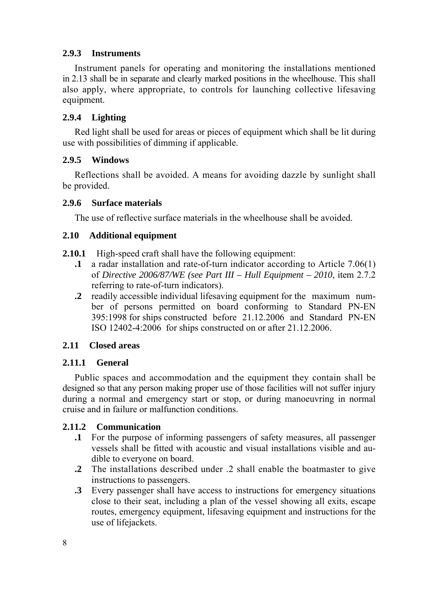## **2.9.3 Instruments**

Instrument panels for operating and monitoring the installations mentioned in 2.13 shall be in separate and clearly marked positions in the wheelhouse. This shall also apply, where appropriate, to controls for launching collective lifesaving equipment.

## **2.9.4 Lighting**

Red light shall be used for areas or pieces of equipment which shall be lit during use with possibilities of dimming if applicable.

#### **2.9.5 Windows**

Reflections shall be avoided. A means for avoiding dazzle by sunlight shall be provided.

#### **2.9.6 Surface materials**

The use of reflective surface materials in the wheelhouse shall be avoided.

### **2.10 Additional equipment**

- **2.10.1** High-speed craft shall have the following equipment:
	- **.1** a radar installation and rate-of-turn indicator according to Article 7.06(1) of *Directive 2006/87/WE (see Part III – Hull Equipment – 2010*, item 2.7.2 referring to rate-of-turn indicators).
	- **.2** readily accessible individual lifesaving equipment for the maximum number of persons permitted on board conforming to Standard PN-EN 395:1998 for ships constructed before 21.12.2006 and Standard PN-EN ISO 12402-4:2006 for ships constructed on or after 21.12.2006.

#### **2.11 Closed areas**

#### **2.11.1 General**

Public spaces and accommodation and the equipment they contain shall be designed so that any person making proper use of those facilities will not suffer injury during a normal and emergency start or stop, or during manoeuvring in normal cruise and in failure or malfunction conditions.

## **2.11.2 Communication**

- **.1** For the purpose of informing passengers of safety measures, all passenger vessels shall be fitted with acoustic and visual installations visible and audible to everyone on board.
- **.2** The installations described under .2 shall enable the boatmaster to give instructions to passengers.
- **.3** Every passenger shall have access to instructions for emergency situations close to their seat, including a plan of the vessel showing all exits, escape routes, emergency equipment, lifesaving equipment and instructions for the use of lifejackets.